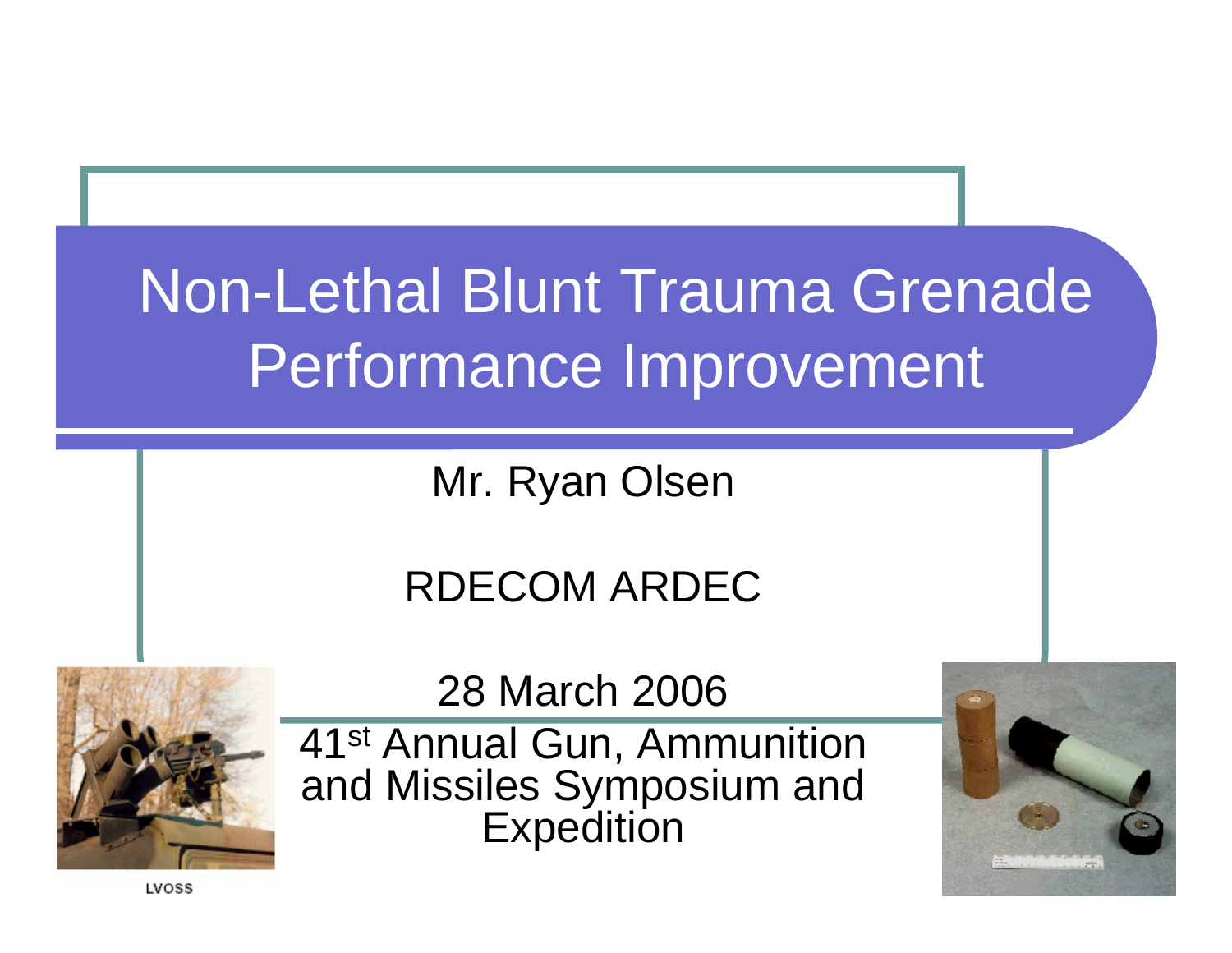# Non-Lethal Blunt Trauma Grenade Performance Improvement

Mr. Ryan Olsen

#### RDECOM ARDEC



28 March 2006

41st Annual Gun, Ammunition and Missiles Symposium and Expedition



LVOSS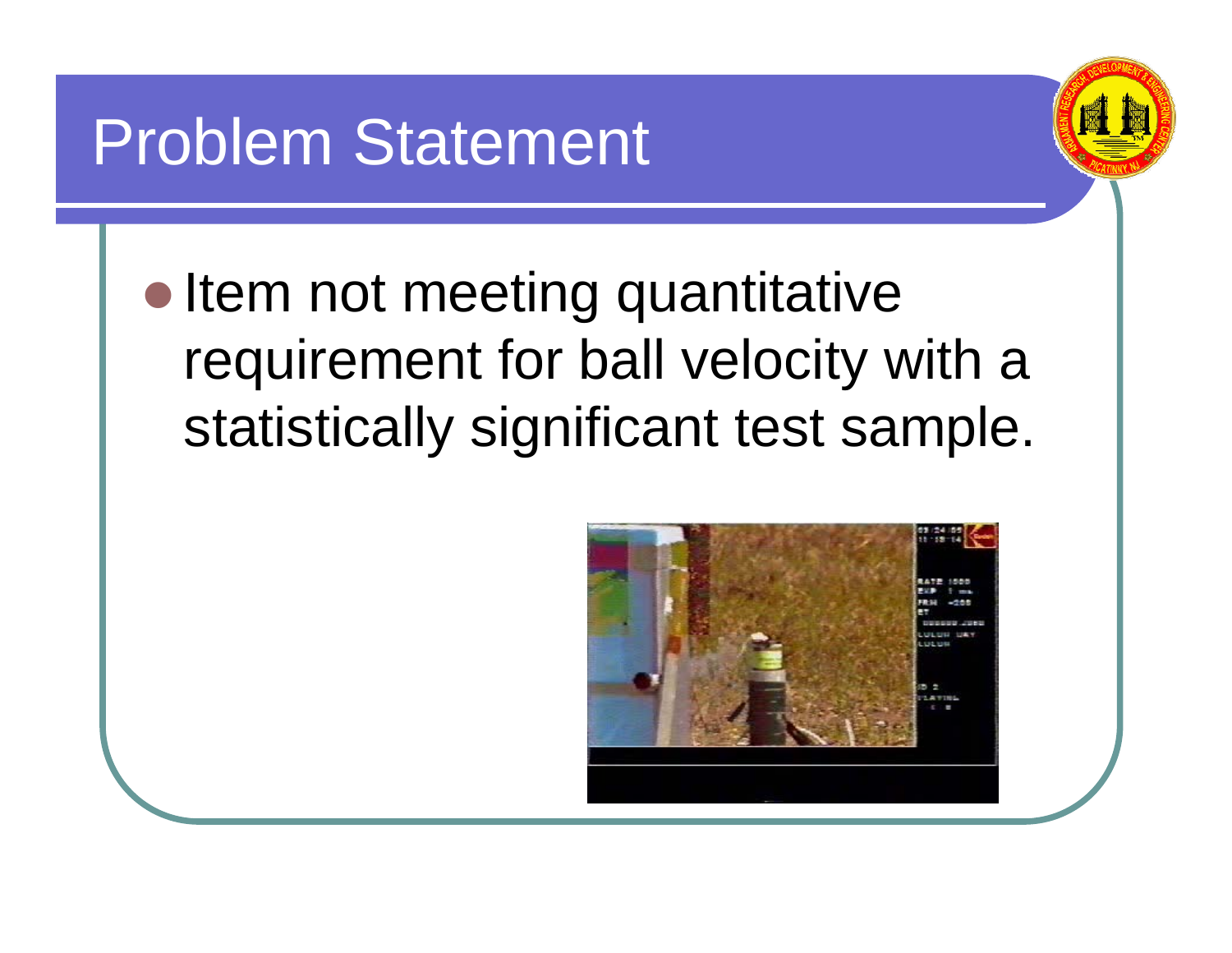#### Problem Statement



• Item not meeting quantitative requirement for ball velocity with a statistically significant test sample.

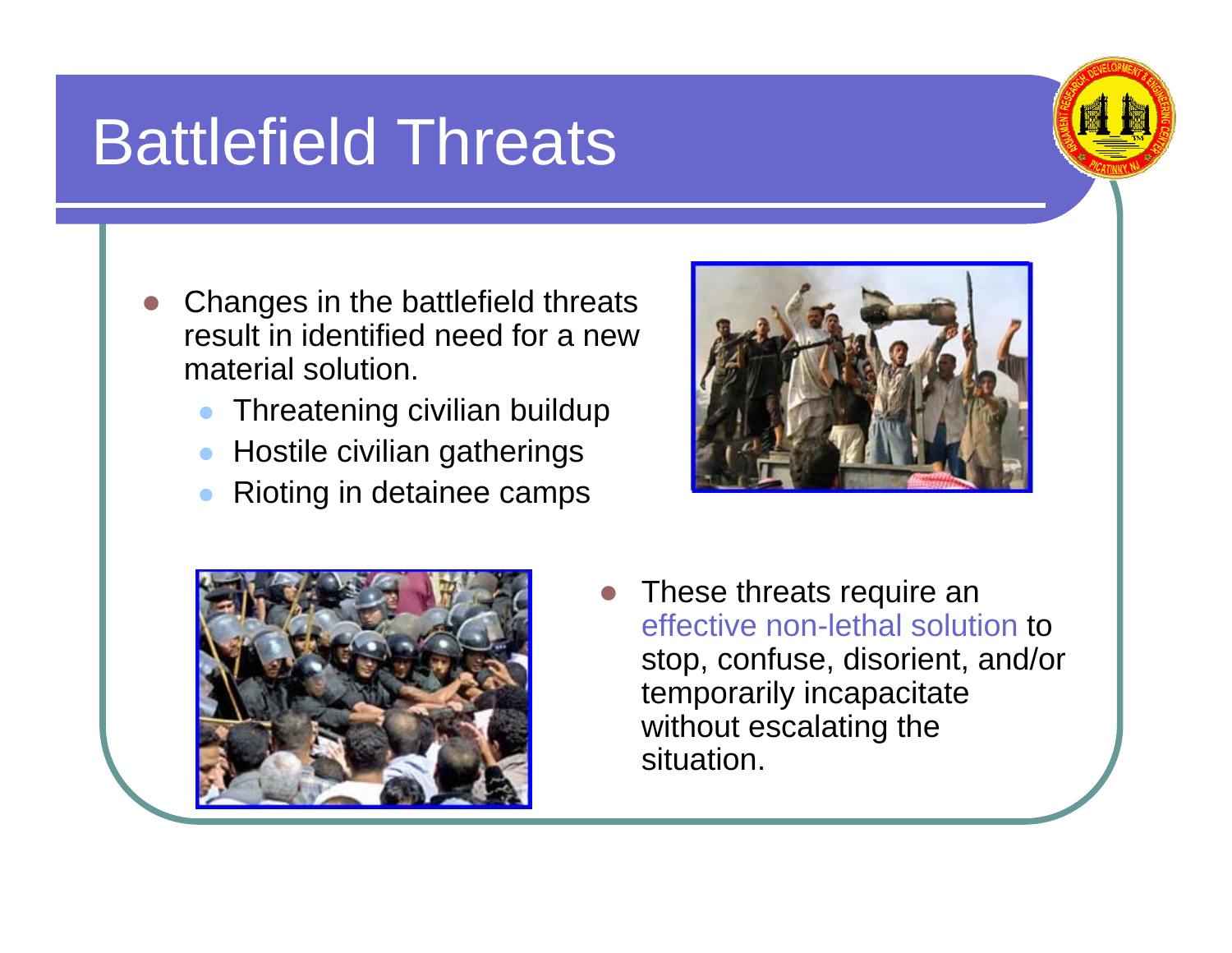#### Battlefield Threats

- z Changes in the battlefield threats result in identified need for a new material solution.
	- $\bullet$ Threatening civilian buildup
	- $\bullet$ Hostile civilian gatherings
	- $\bullet$ Rioting in detainee camps





z These threats require an effective non-lethal solution to stop, confuse, disorient, and/or temporarily incapacitate without escalating the situation.

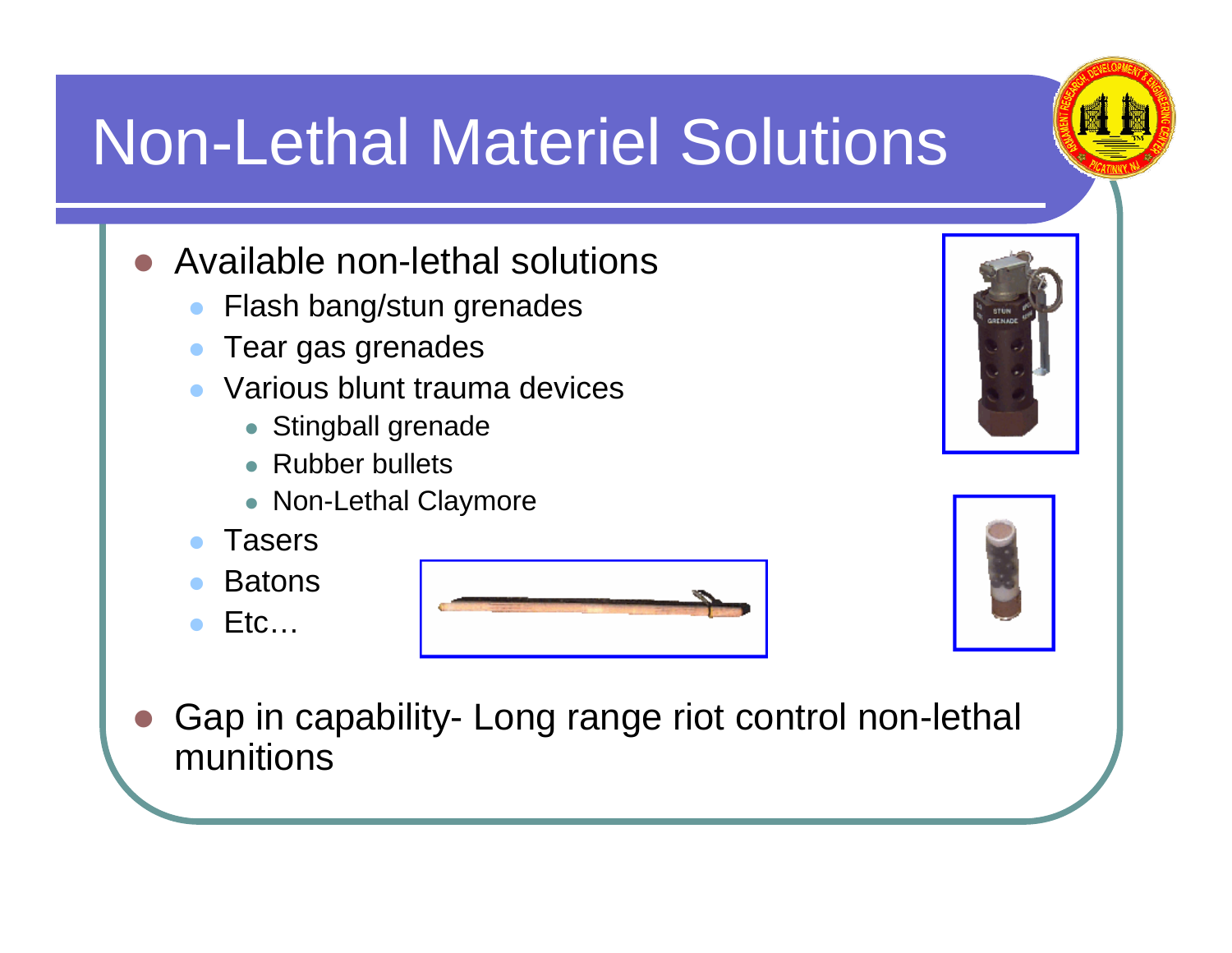# Non-Lethal Materiel Solutions

- $\bullet$  Available non-lethal solutions
	- $\bullet$ Flash bang/stun grenades
	- $\bullet$ Tear gas grenades
	- $\bullet$  Various blunt trauma devices
		- Stingball grenade
		- Rubber bullets
		- Non-Lethal Claymore
	- $\bullet$ Tasers
	- $\bullet$ **Batons**
	- $\bullet$ Etc…







O Gap in capability- Long range riot control non-lethal munitions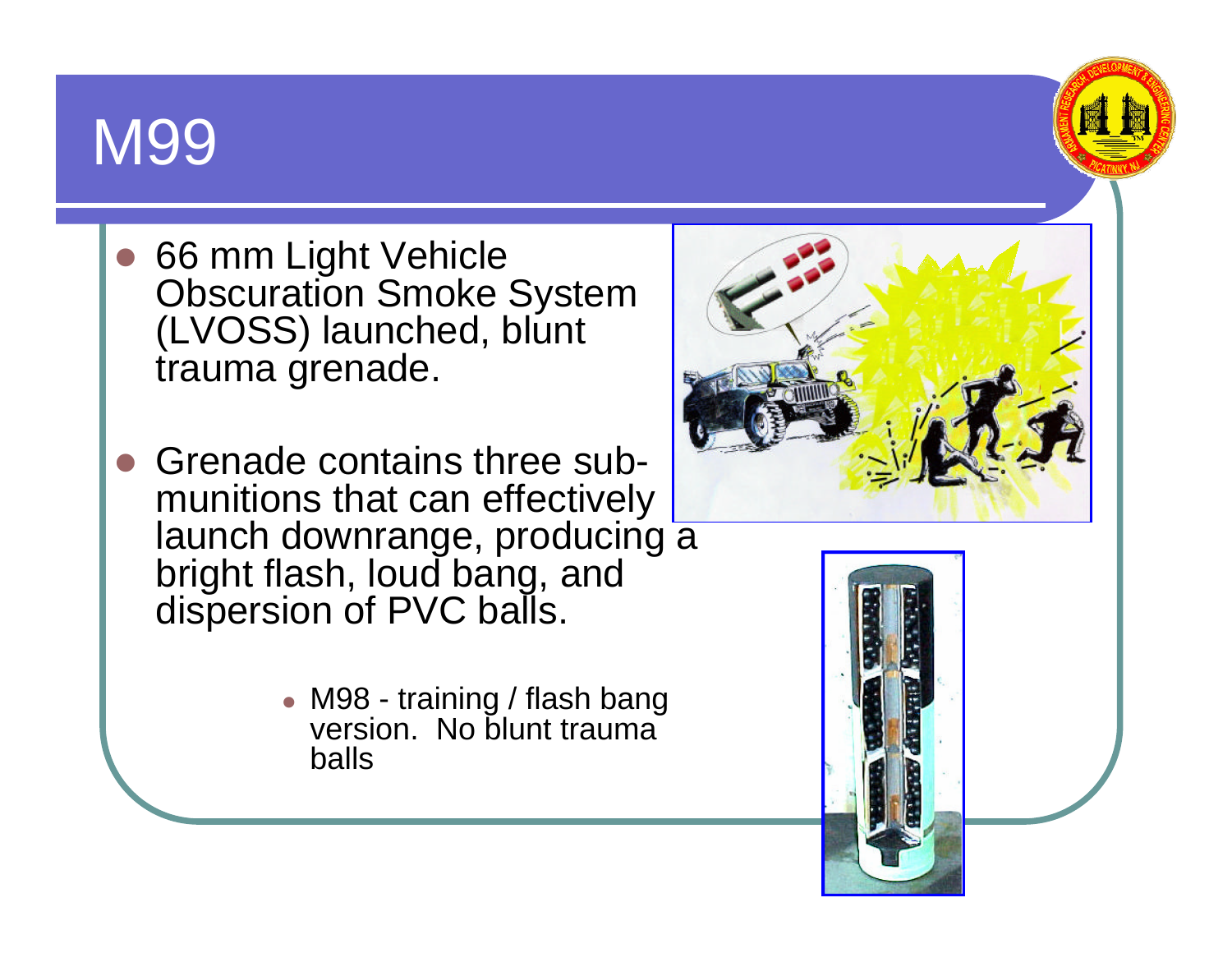#### M99

- 66 mm Light Vehicle **Obscuration Smoke System** (LVOSS) launched, blunt trauma grenade.
- Grenade contains three submunitions that can effectively launch downrange, producing a bright flash, loud bang, and dispersion of PVC balls.
	- M98 training / flash bang version. No blunt trauma balls





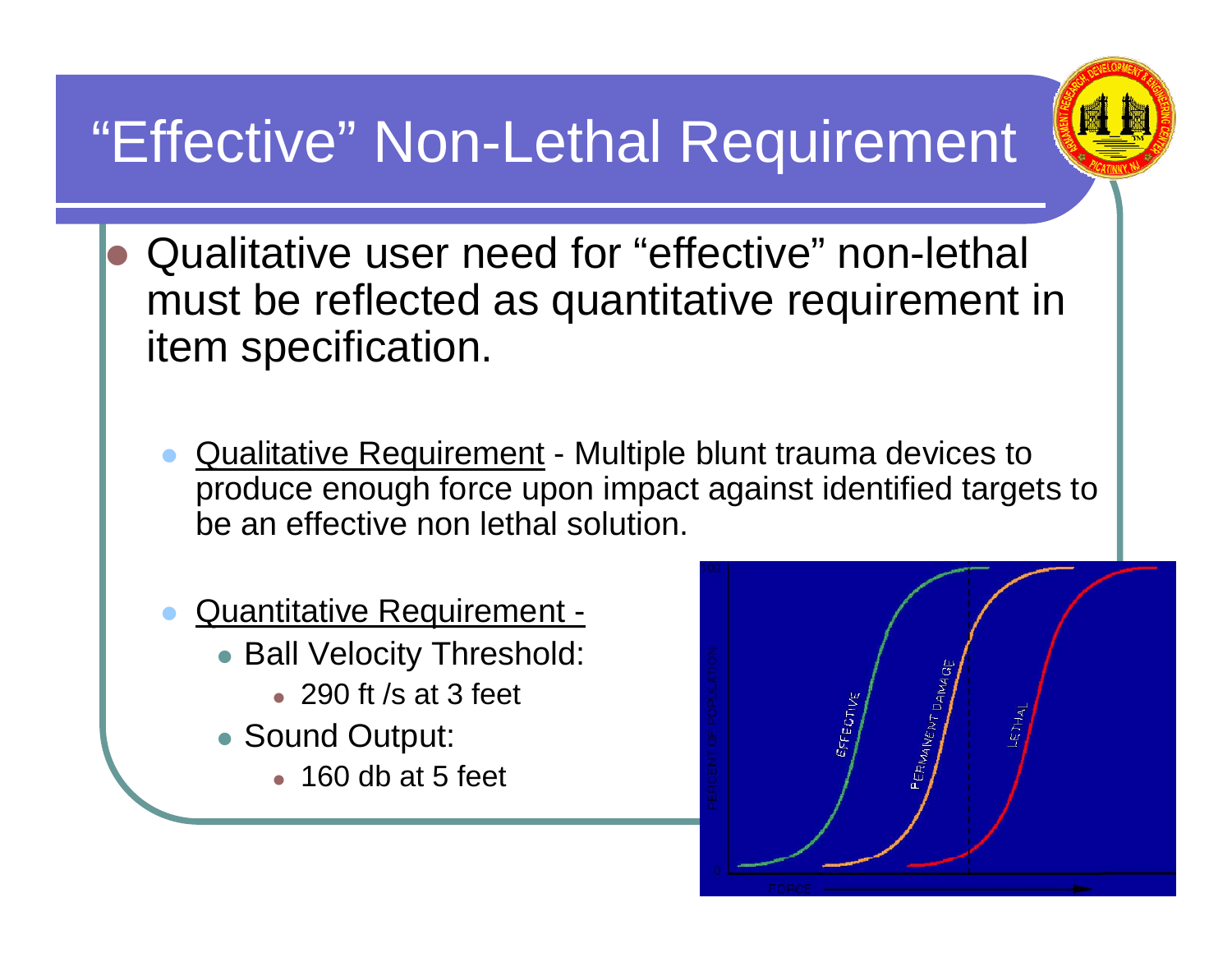#### "Effective" Non-Lethal Requirement



- $\bullet$  Qualitative user need for "effective" non-lethal must be reflected as quantitative requirement in item specification.
	- $\bullet$ Qualitative Requirement - Multiple blunt trauma devices to produce enough force upon impact against identified targets to be an effective non lethal solution.
	- $\bullet$  Quantitative Requirement -
		- Ball Velocity Threshold:
			- 290 ft /s at 3 feet
		- Sound Output:
			- $\bullet$  160 db at 5 feet

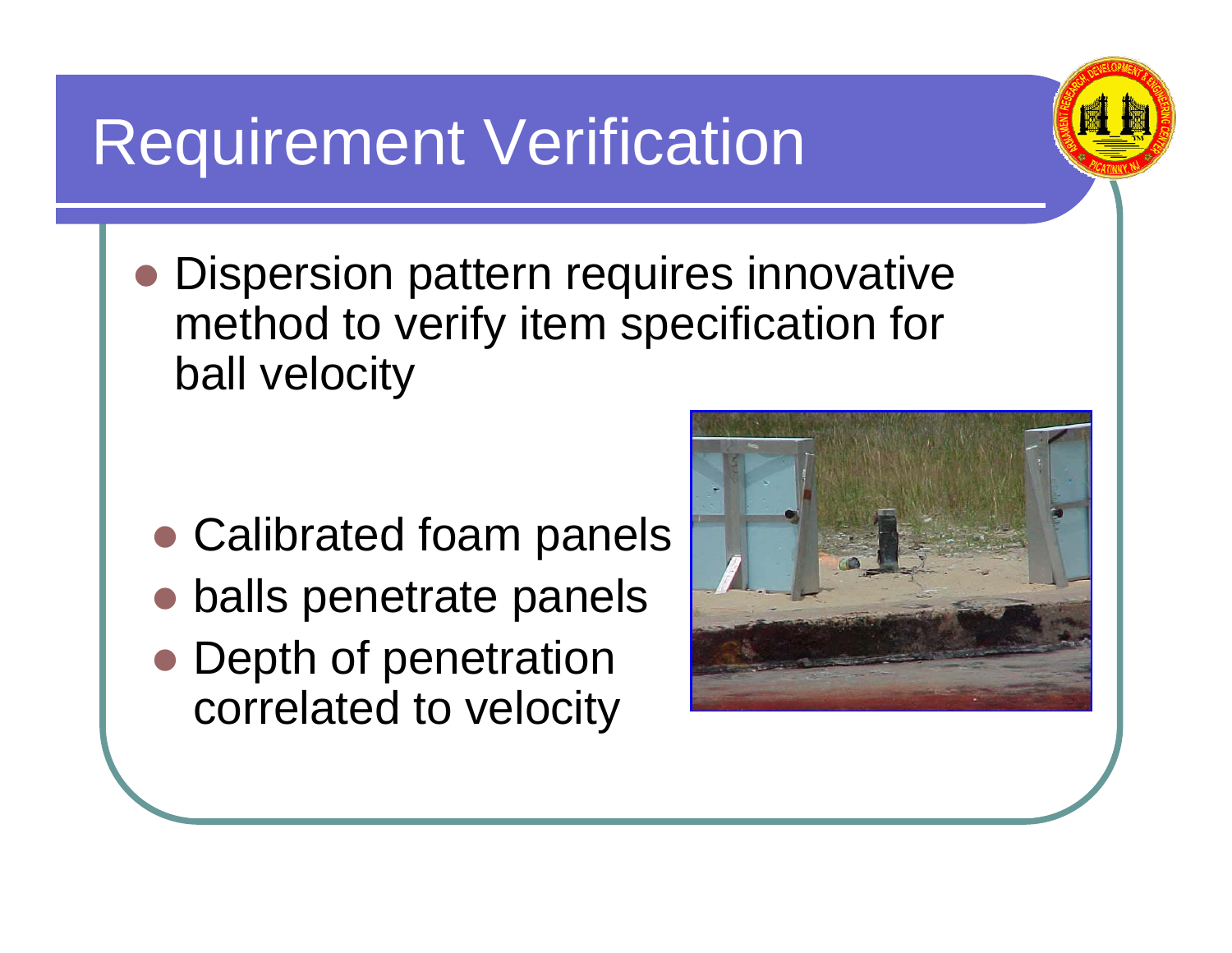#### Requirement Verification

O Dispersion pattern requires innovative method to verify item specification for ball velocity

- Calibrated foam panels
- O balls penetrate panels
- Depth of penetration correlated to velocity



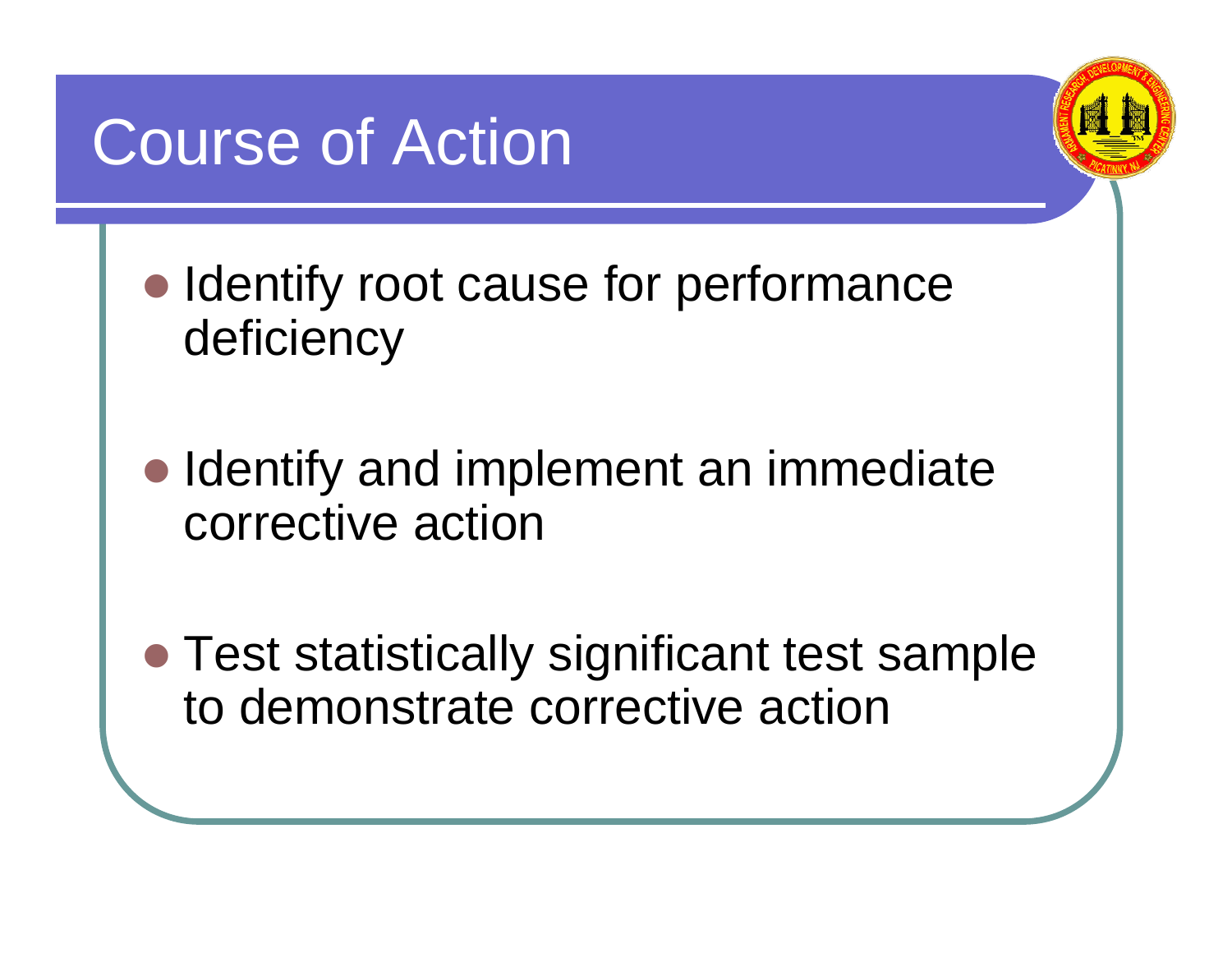#### Course of Action



- Identify root cause for performance deficiency
- Identify and implement an immediate corrective action
- Test statistically significant test sample to demonstrate corrective action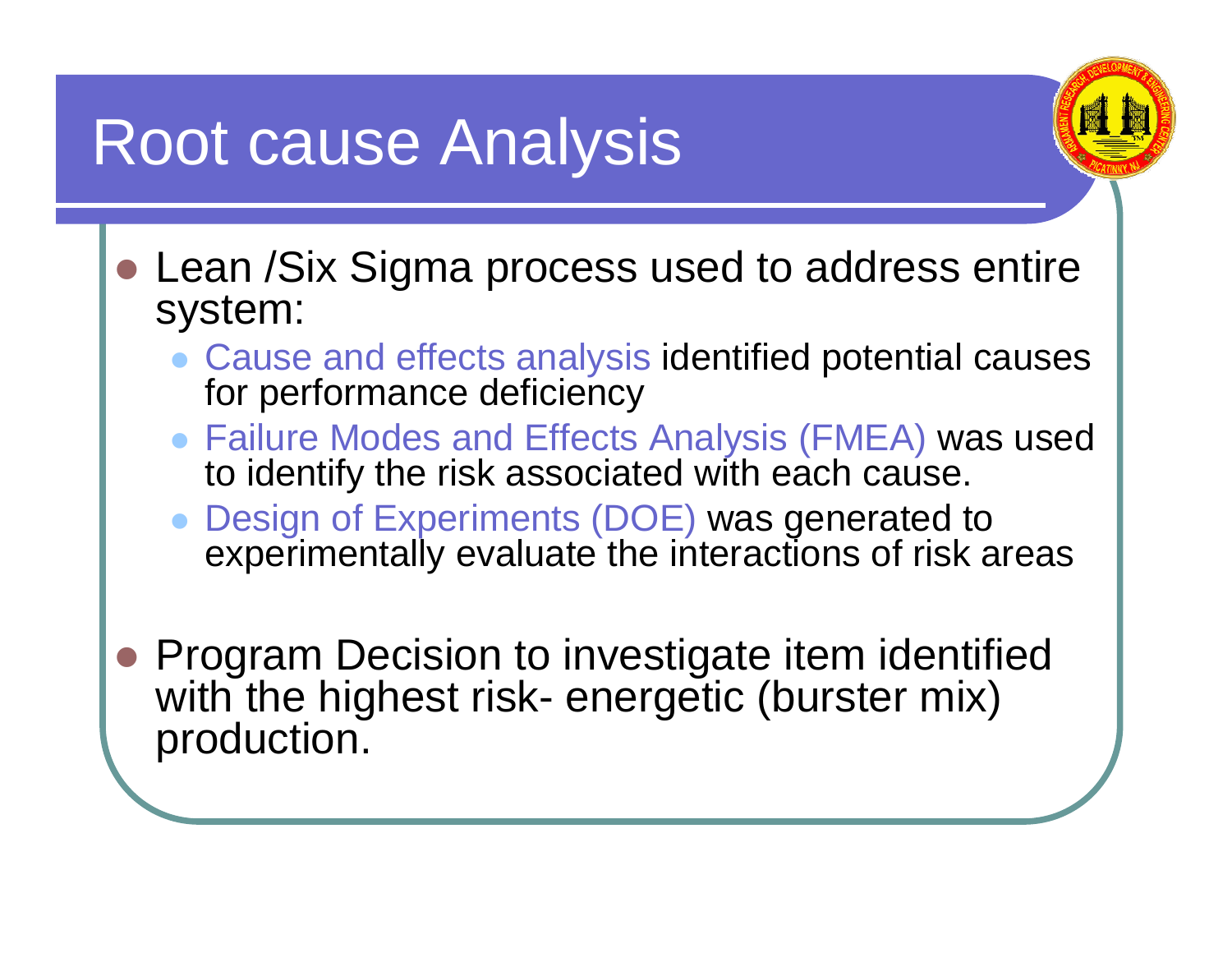#### Root cause Analysis



- Lean /Six Sigma process used to address entire system:
	- Cause and effects analysis identified potential causes for performance deficiency
	- Failure Modes and Effects Analysis (FMEA) was used to identify the risk associated with each cause.
	- $\bullet$  Design of Experiments (DOE) was generated to experimentally evaluate the interactions of risk areas
- $\bullet$  Program Decision to investigate item identified with the highest risk- energetic (burster mix) production.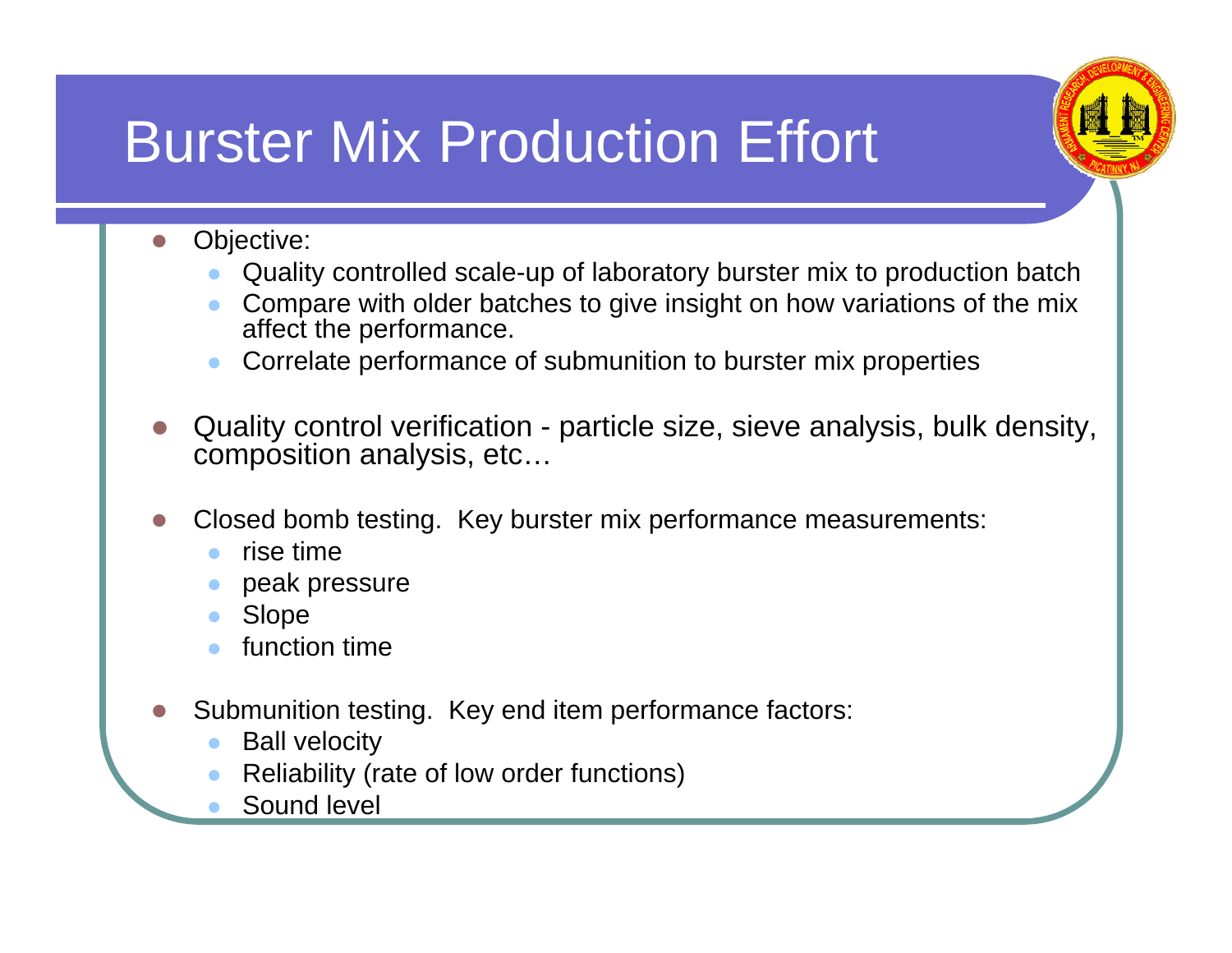#### Burster Mix Production Effort

- **z**  Objective:
	- zQuality controlled scale-up of laboratory burster mix to production batch
	- z Compare with older batches to give insight on how variations of the mix affect the performance.
	- zCorrelate performance of submunition to burster mix properties
- **z**  Quality control verification - particle size, sieve analysis, bulk density, composition analysis, etc…
- $\overline{\phantom{a}}$  Closed bomb testing. Key burster mix performance measurements:
	- zrise time
	- zpeak pressure
	- zSlope
	- zfunction time
- z Submunition testing. Key end item performance factors:
	- zBall velocity
	- zReliability (rate of low order functions)
	- zSound level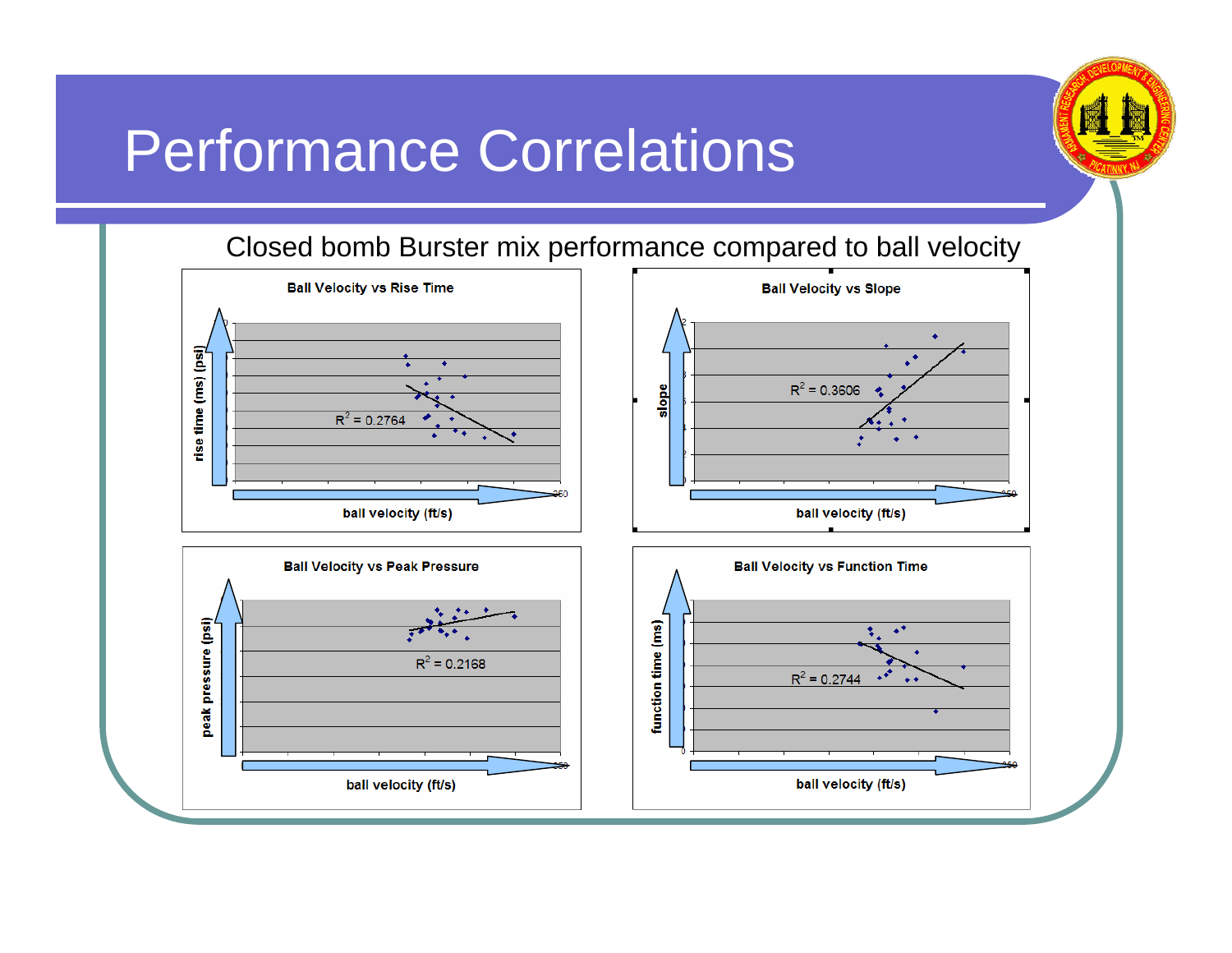#### Performance Correlations



#### Closed bomb Burster mix performance compared to ball velocity

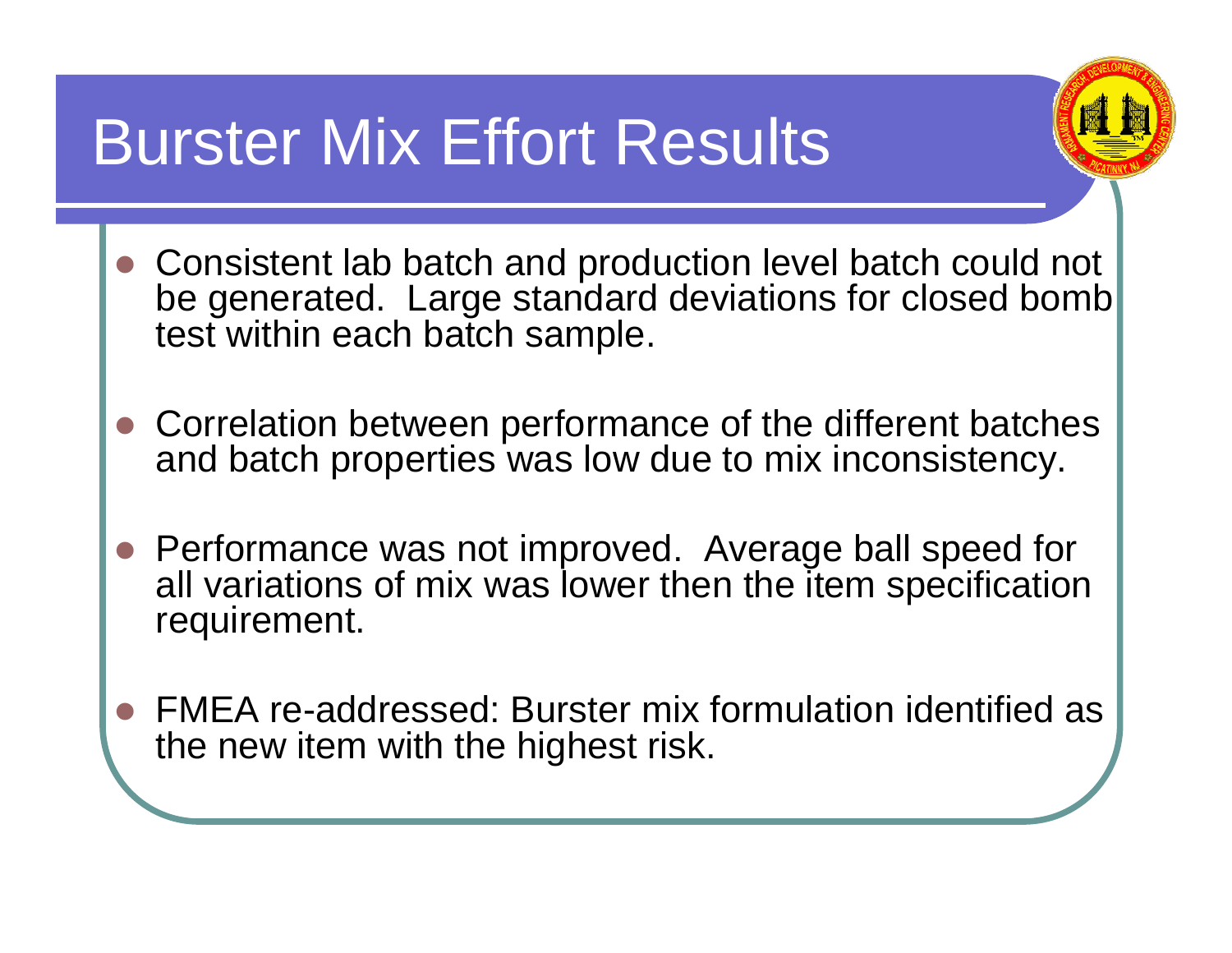#### Burster Mix Effort Results



- Consistent lab batch and production level batch could not be generated. Large standard deviations for closed bomb test within each batch sample.
- Correlation between performance of the different batches and batch properties was low due to mix inconsistency.
- Performance was not improved. Average ball speed for all variations of mix was lower then the item specification requirement.
- O FMEA re-addressed: Burster mix formulation identified as the new item with the highest risk.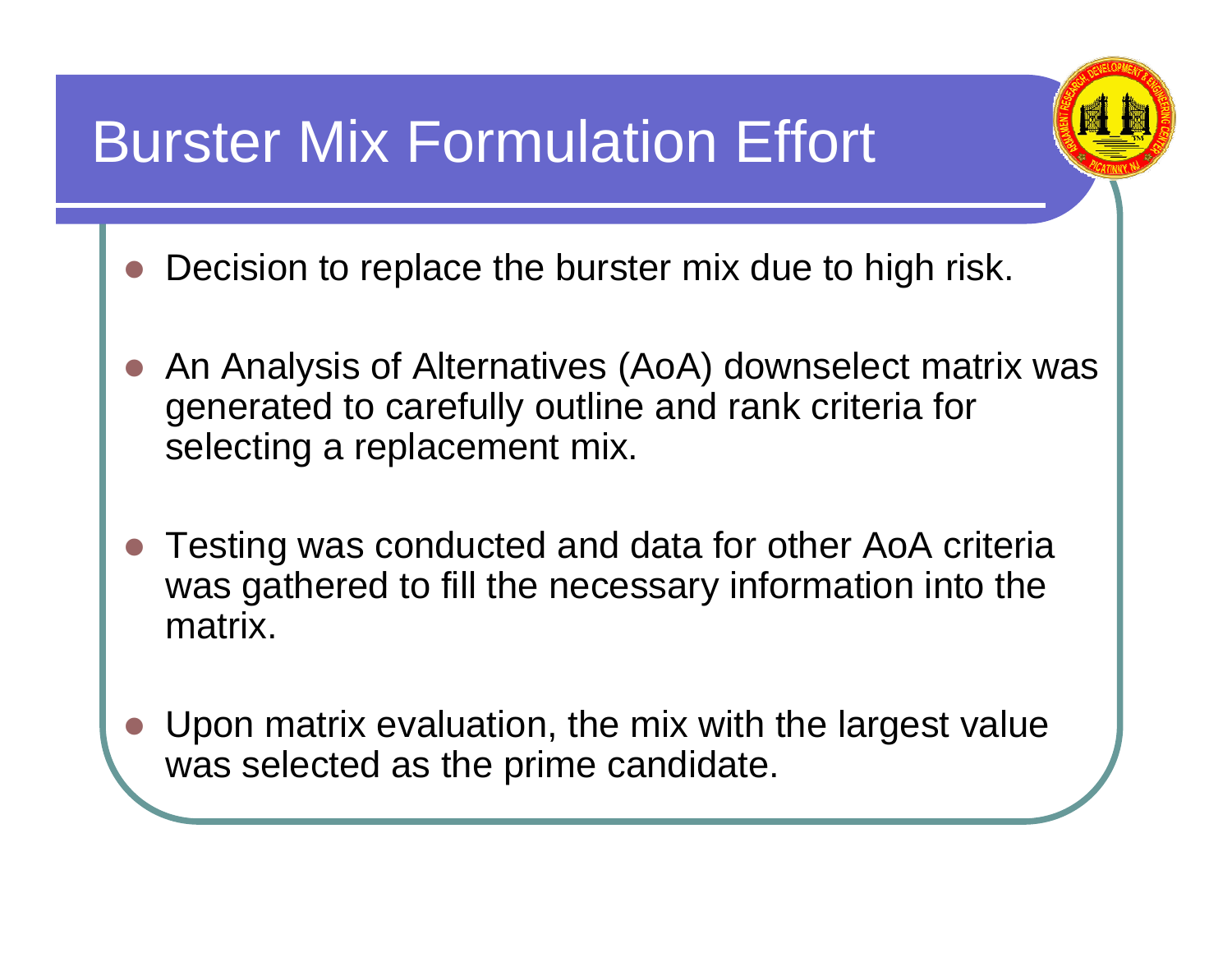#### Burster Mix Formulation Effort



- O Decision to replace the burster mix due to high risk.
- O An Analysis of Alternatives (AoA) downselect matrix was generated to carefully outline and rank criteria for selecting a replacement mix.
- O Testing was conducted and data for other AoA criteria was gathered to fill the necessary information into the matrix.
- O Upon matrix evaluation, the mix with the largest value was selected as the prime candidate.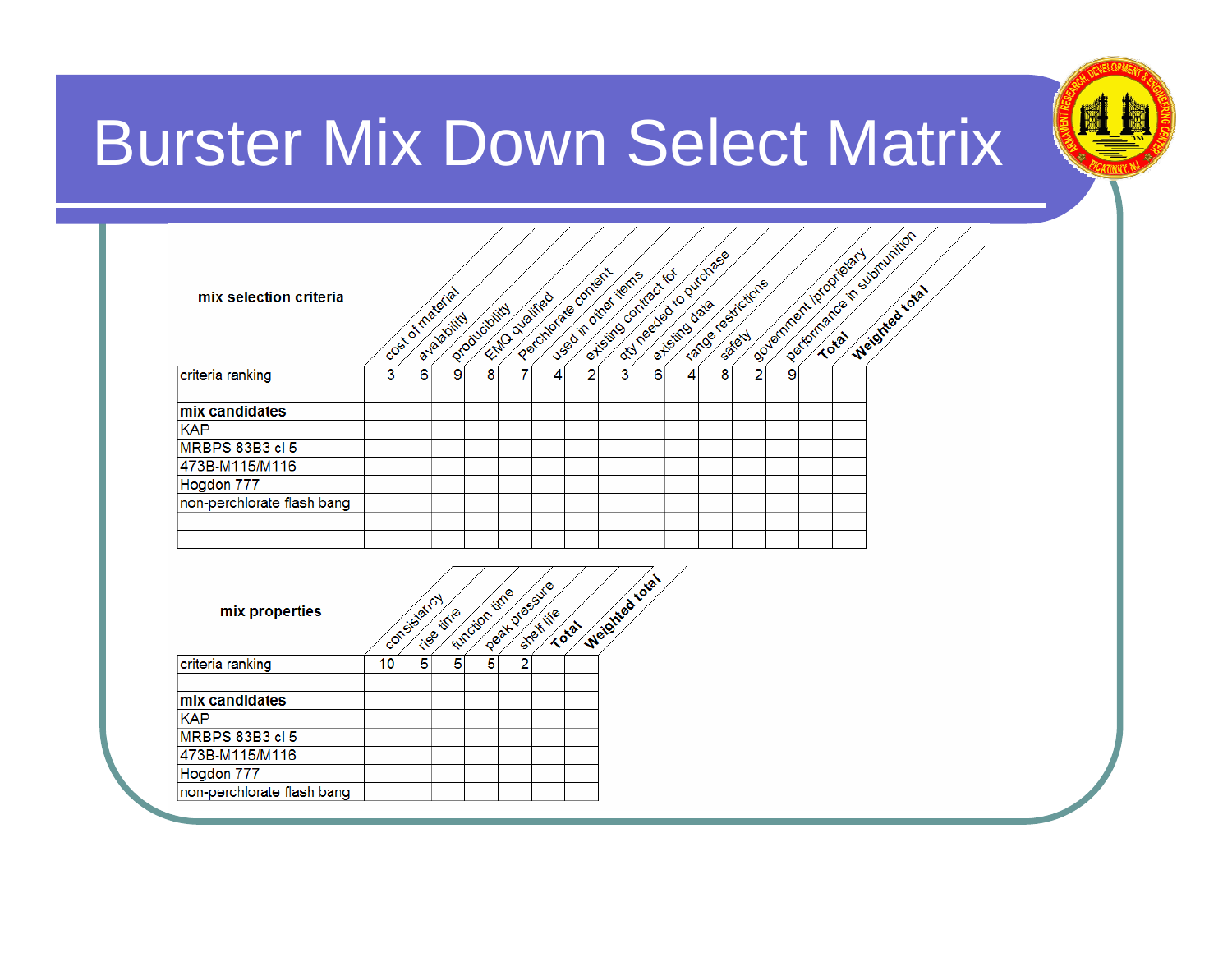

# Burster Mix Down Select Matrix

| mix selection criteria     |    |             | cost of material<br>a-valability | productolity                                    |                | Etto qualified | Perchange content<br>Lused in other terms |                | orty needed to purchase<br>externo contract tot |                |                         | range restictions |                | logitomance in sumunition<br>Sovemnert lotarietery | Weighted total |  |  |
|----------------------------|----|-------------|----------------------------------|-------------------------------------------------|----------------|----------------|-------------------------------------------|----------------|-------------------------------------------------|----------------|-------------------------|-------------------|----------------|----------------------------------------------------|----------------|--|--|
| criteria ranking           | 3  | 6           | 9                                | $\overline{\mathbf{8}}$                         | 7              | 4              | $\overline{2}$                            | $\overline{3}$ | 6                                               | $\overline{4}$ | $\overline{\mathbf{8}}$ | $\overline{2}$    | $\overline{9}$ |                                                    |                |  |  |
| mix candidates             |    |             |                                  |                                                 |                |                |                                           |                |                                                 |                |                         |                   |                |                                                    |                |  |  |
| <b>KAP</b>                 |    |             |                                  |                                                 |                |                |                                           |                |                                                 |                |                         |                   |                |                                                    |                |  |  |
| <b>MRBPS 83B3 cl 5</b>     |    |             |                                  |                                                 |                |                |                                           |                |                                                 |                |                         |                   |                |                                                    |                |  |  |
| 473B-M115/M116             |    |             |                                  |                                                 |                |                |                                           |                |                                                 |                |                         |                   |                |                                                    |                |  |  |
| Hogdon 777                 |    |             |                                  |                                                 |                |                |                                           |                |                                                 |                |                         |                   |                |                                                    |                |  |  |
| non-perchlorate flash bang |    |             |                                  |                                                 |                |                |                                           |                |                                                 |                |                         |                   |                |                                                    |                |  |  |
|                            |    |             |                                  |                                                 |                |                |                                           |                |                                                 |                |                         |                   |                |                                                    |                |  |  |
|                            |    |             |                                  |                                                 |                |                |                                           |                |                                                 |                |                         |                   |                |                                                    |                |  |  |
|                            |    |             |                                  |                                                 |                |                |                                           |                |                                                 |                |                         |                   |                |                                                    |                |  |  |
| mix properties             |    | consistancy | <b>Cise time</b>                 |                                                 |                | Stekite        | Total                                     |                |                                                 |                |                         |                   |                |                                                    |                |  |  |
| criteria ranking           | 10 | 5           | 5                                | <b>Eurotion time</b><br>$\overline{\mathbf{5}}$ | $\overline{2}$ | Peak pressure  |                                           |                | Weighted total                                  |                |                         |                   |                |                                                    |                |  |  |
| mix candidates             |    |             |                                  |                                                 |                |                |                                           |                |                                                 |                |                         |                   |                |                                                    |                |  |  |
| <b>KAP</b>                 |    |             |                                  |                                                 |                |                |                                           |                |                                                 |                |                         |                   |                |                                                    |                |  |  |
| <b>MRBPS 83B3 cl 5</b>     |    |             |                                  |                                                 |                |                |                                           |                |                                                 |                |                         |                   |                |                                                    |                |  |  |
| 473B-M115/M116             |    |             |                                  |                                                 |                |                |                                           |                |                                                 |                |                         |                   |                |                                                    |                |  |  |
| Hogdon 777                 |    |             |                                  |                                                 |                |                |                                           |                |                                                 |                |                         |                   |                |                                                    |                |  |  |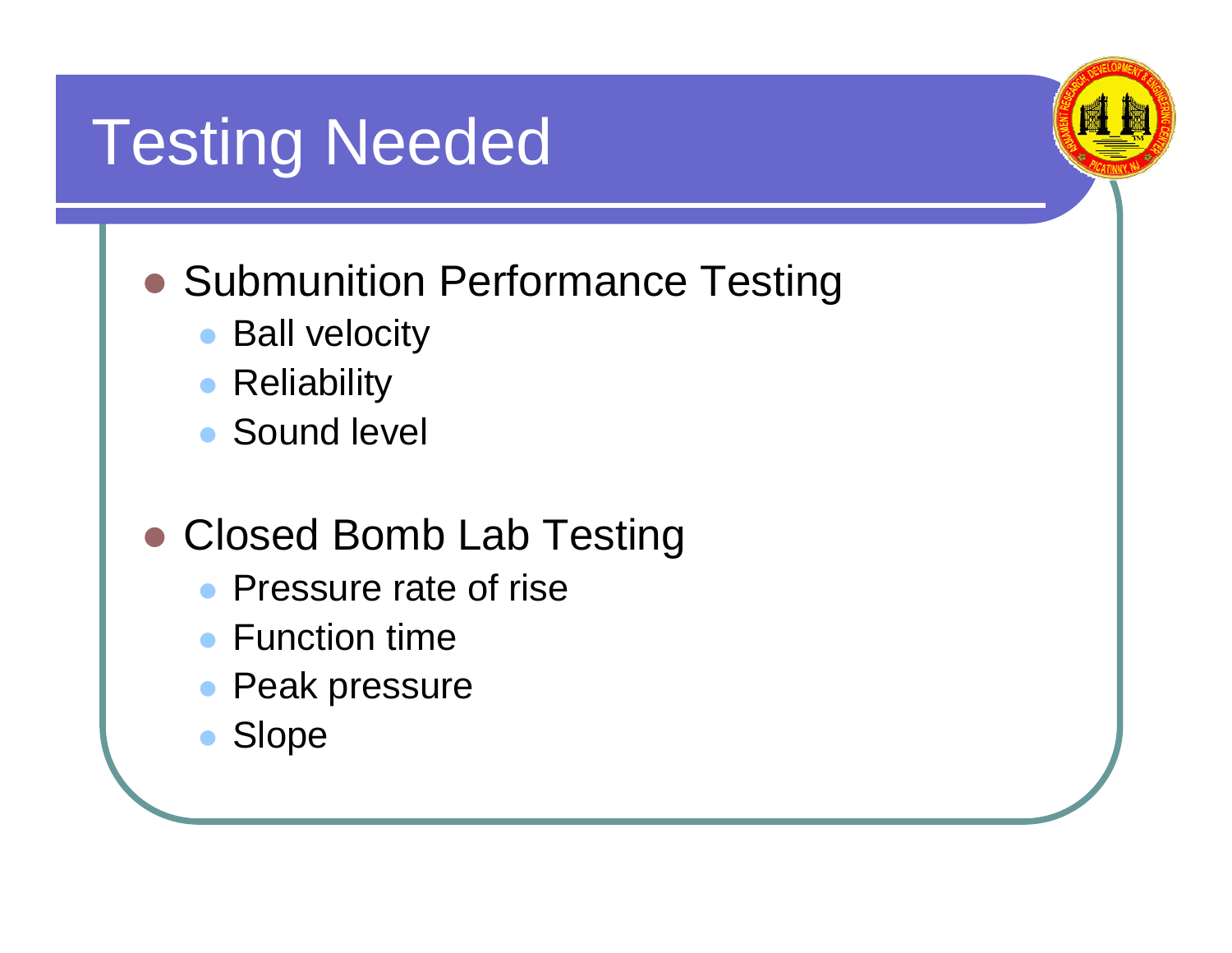#### Testing Needed

#### **• Submunition Performance Testing**

- $\bullet$ Ball velocity
- $\bullet$ **Reliability**
- $\bullet$ Sound level

#### • Closed Bomb Lab Testing

- Pressure rate of rise
- Function time
- Peak pressure
- $\bullet$ Slope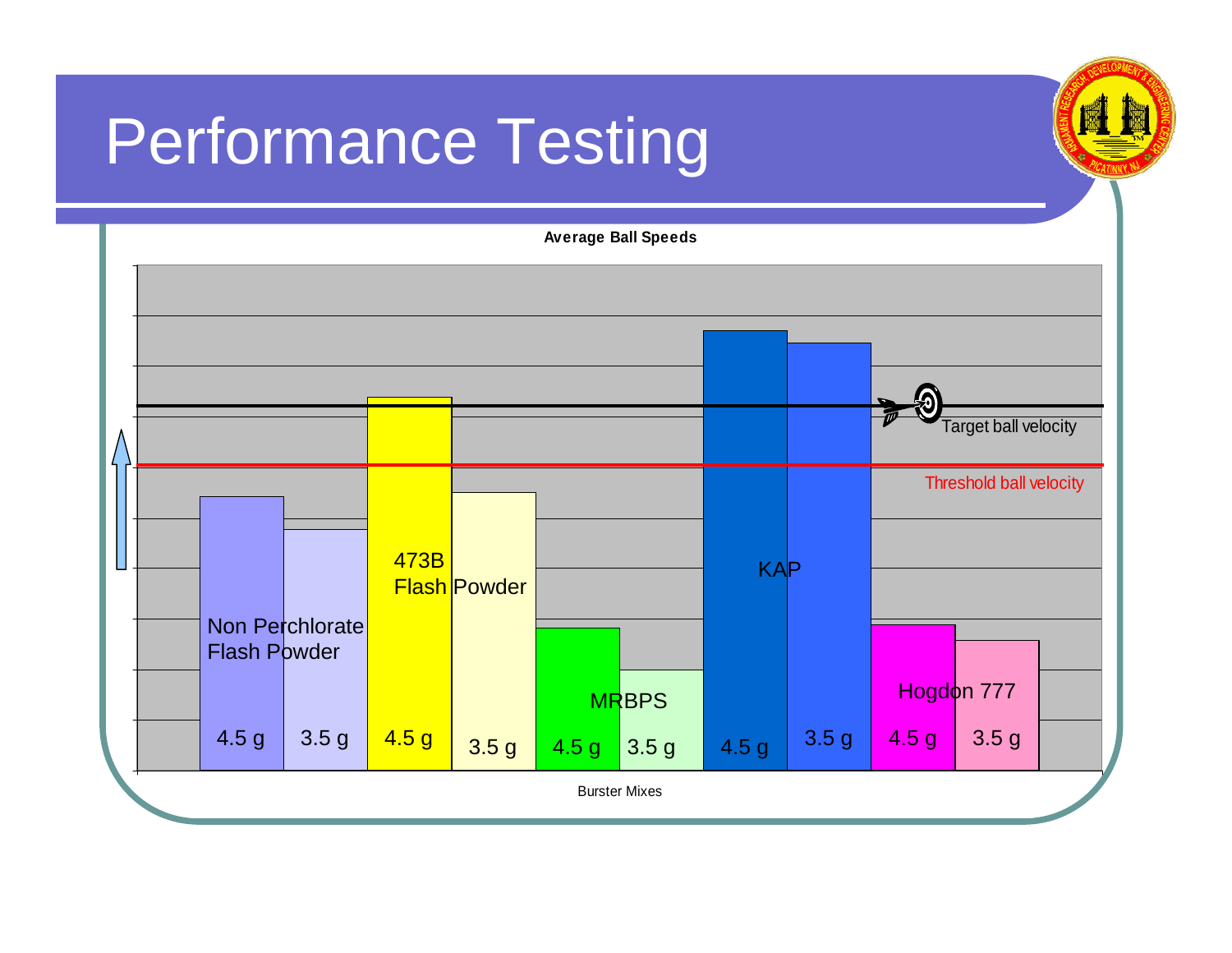# Performance Testing



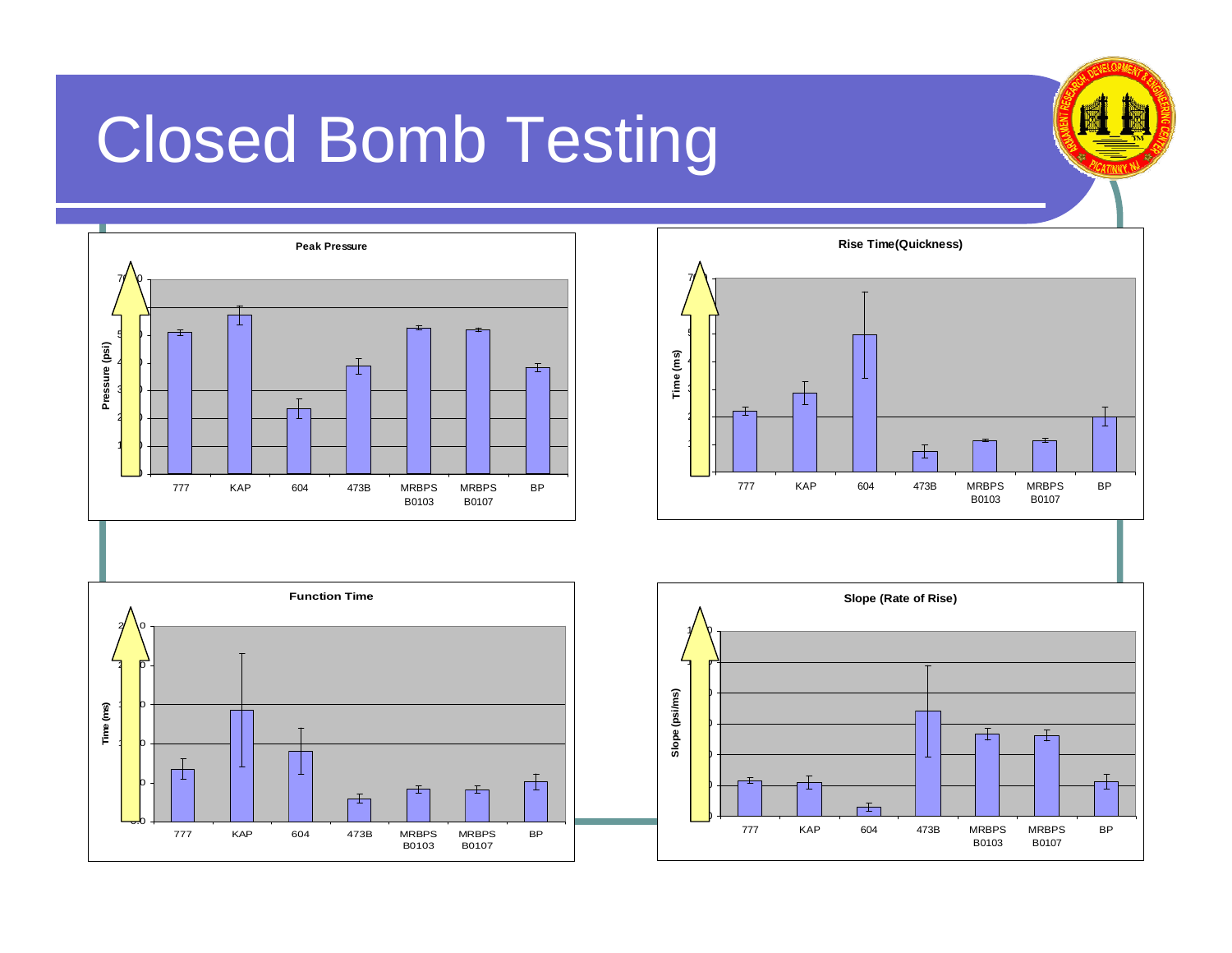# Closed Bomb Testing









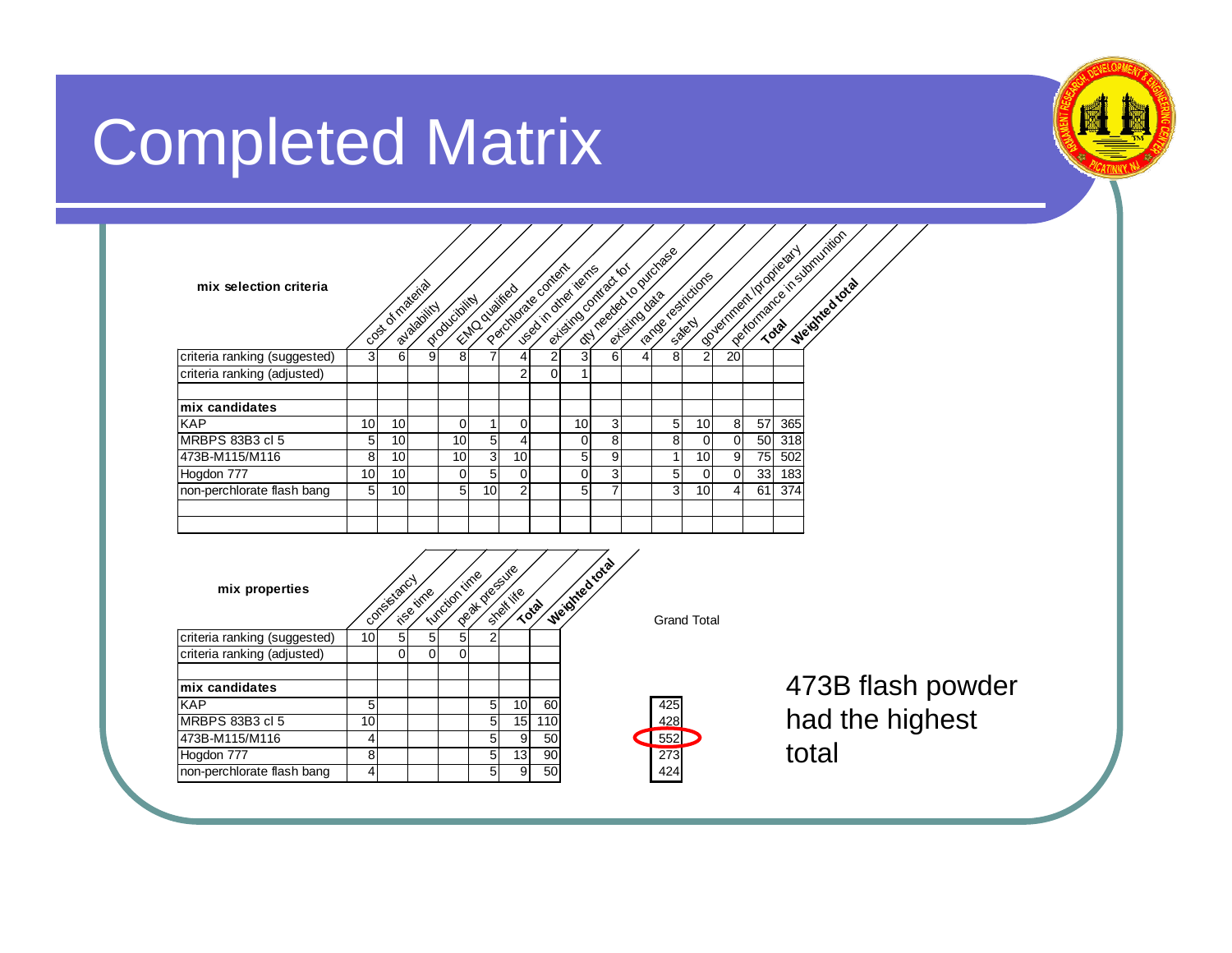# Completed Matrix

| mix selection criteria       |                 | code of material | a-valaditry    | Orduciolital         | Entrancialites    | Pacificade content |                | ortisting ontraction<br>ugatin otraillerres |                |   | <b>INTERNATIONAL PROVIDIDAS</b> | carcal restrictions |                |                 | Oceanneal propiesary | Partner of current of the storming<br>Weighted total |
|------------------------------|-----------------|------------------|----------------|----------------------|-------------------|--------------------|----------------|---------------------------------------------|----------------|---|---------------------------------|---------------------|----------------|-----------------|----------------------|------------------------------------------------------|
| criteria ranking (suggested) | 3               | 6                | 9              | 8                    |                   | 4                  | $\overline{c}$ | $\overline{3}$                              | 6              | 4 | 8                               | $\overline{2}$      | 20             |                 |                      |                                                      |
| criteria ranking (adjusted)  |                 |                  |                |                      |                   | $\overline{2}$     | $\overline{0}$ | $\mathbf 1$                                 |                |   |                                 |                     |                |                 |                      |                                                      |
| mix candidates               |                 |                  |                |                      |                   |                    |                |                                             |                |   |                                 |                     |                |                 |                      |                                                      |
| <b>KAP</b>                   | 10 <sup>1</sup> | 10               |                | 0                    | 1                 | 0                  |                | 10                                          | 3              |   | 5                               | 10                  | 8 <sup>1</sup> | 57              | 365                  |                                                      |
| MRBPS 83B3 cl 5              | 5               | 10               |                | 10                   | 5                 | 4                  |                | $\mathbf 0$                                 | 8              |   | 8                               | $\mathbf 0$         | $\mathbf 0$    | 50              | 318                  |                                                      |
| 473B-M115/M116               | 8               | 10               |                | 10                   | $\mathbf{3}$      | 10                 |                | 5 <sup>1</sup>                              | $\overline{9}$ |   | 1                               | 10                  | 9              | 75              | 502                  |                                                      |
| Hogdon 777                   | 10              | 10               |                | $\mathbf 0$          | 5                 | 0                  |                | $\mathbf 0$                                 | 3              |   | 5                               | 0                   | $\mathbf 0$    | 33 <sub>1</sub> | 183                  |                                                      |
| non-perchlorate flash bang   | 5               | 10               |                | 5                    | 10                | $\overline{2}$     |                | $\overline{5}$                              | $\overline{7}$ |   | 3                               | 10                  | 4              | 61              | 374                  |                                                      |
|                              |                 |                  |                |                      |                   |                    |                |                                             |                |   |                                 |                     |                |                 |                      |                                                      |
|                              |                 |                  |                |                      |                   |                    |                |                                             |                |   |                                 |                     |                |                 |                      |                                                      |
| mix properties               |                 | Confestancy      | ise time       | <b>Lunction time</b> | lee di processire | Shekite            | Total          | Weidried total                              |                |   |                                 | <b>Grand Total</b>  |                |                 |                      |                                                      |
| criteria ranking (suggested) | 10 <sup>1</sup> | 5                | 5              | 5 <sup>1</sup>       | $\overline{2}$    |                    |                |                                             |                |   |                                 |                     |                |                 |                      |                                                      |
| criteria ranking (adjusted)  |                 | 0                | $\overline{0}$ | 0                    |                   |                    |                |                                             |                |   |                                 |                     |                |                 |                      |                                                      |
| mix candidates               |                 |                  |                |                      |                   |                    |                |                                             |                |   |                                 |                     |                |                 |                      | 473B flash p                                         |
| <b>KAP</b>                   | 5               |                  |                |                      | 5                 | 10                 | 60             |                                             |                |   | 425                             |                     |                |                 |                      |                                                      |
| MRBPS 83B3 cl 5              | 10 <sup>1</sup> |                  |                |                      | 5                 | 15                 | 110            |                                             |                |   | 428                             |                     |                |                 |                      | had the high                                         |



473B-M115/M116 | 4 | 5 9 50 Hogdon 777 8 8 5 13 90 273<br>non-perchlorate flash bang 4 5 9 50 424 non-perchlorate flash bang 4 4 5 9

<sub>2</sub> bowder had the highest total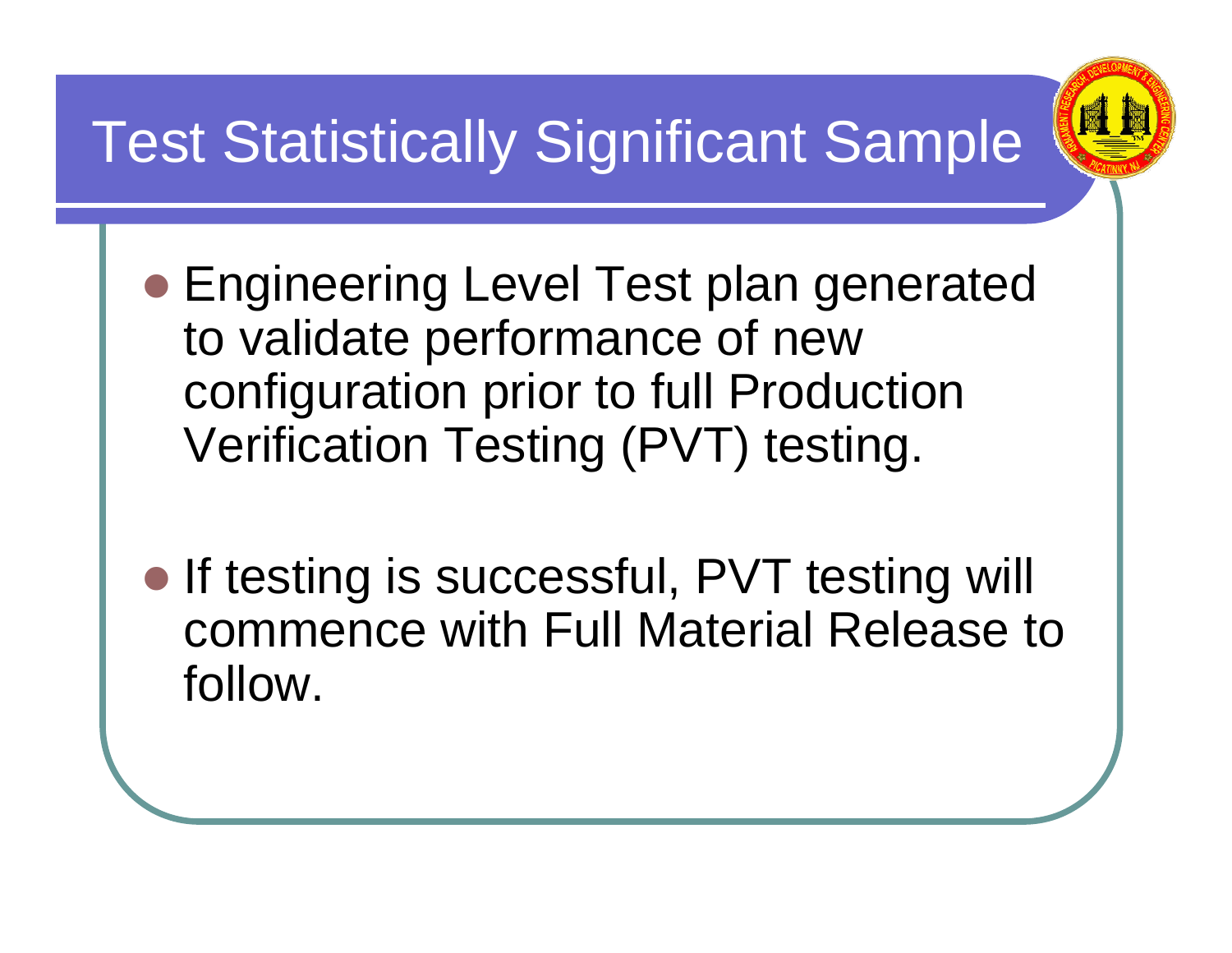# Test Statistically Significant Sample



- **Engineering Level Test plan generated** to validate performance of new configuration prior to full Production Verification Testing (PVT) testing.
- If testing is successful, PVT testing will commence with Full Material Release to follow.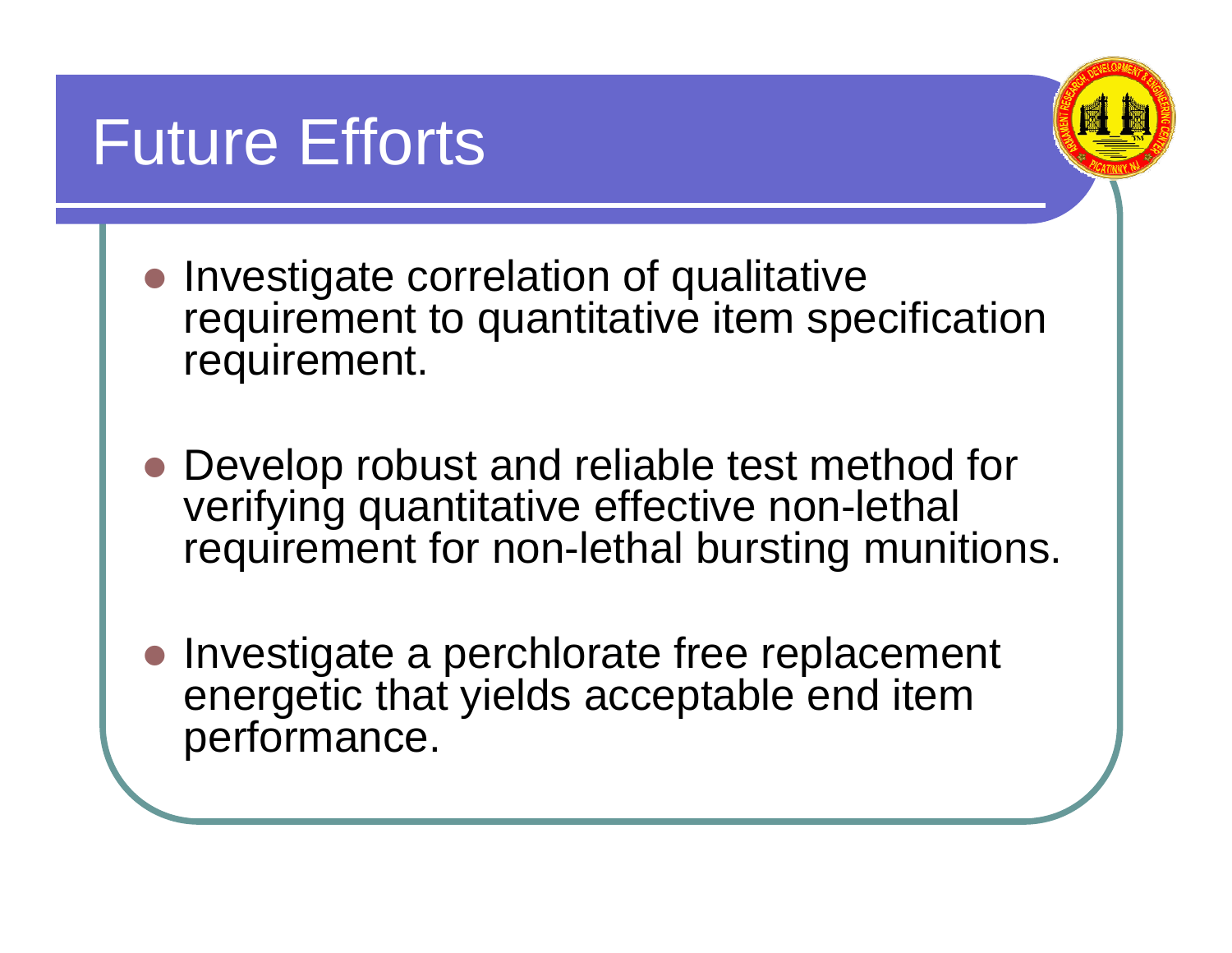#### Future Efforts



- Investigate correlation of qualitative requirement to quantitative item specification requirement.
- Develop robust and reliable test method for verifying quantitative effective non-lethal requirement for non-lethal bursting munitions.
- $\bullet$  Investigate a perchlorate free replacement energetic that yields acceptable end item performance.